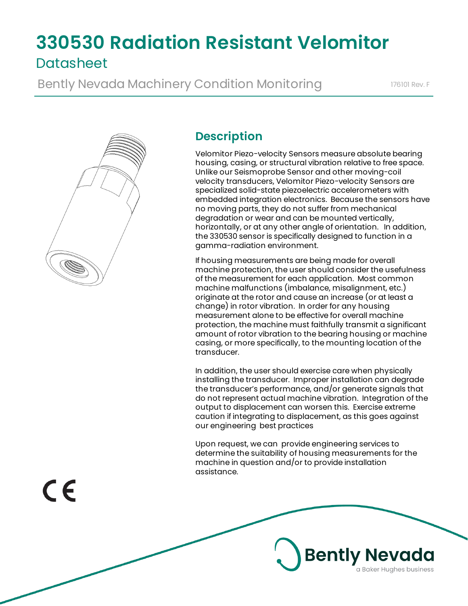# **330530 Radiation Resistant Velomitor Datasheet**

Bently Nevada Machinery Condition Monitoring 176101 Rev. F



# **Description**

Velomitor Piezo-velocity Sensors measure absolute bearing housing, casing, or structural vibration relative to free space. Unlike our Seismoprobe Sensor and other moving-coil velocity transducers, Velomitor Piezo-velocity Sensors are specialized solid-state piezoelectric accelerometers with embedded integration electronics. Because the sensors have no moving parts, they do not suffer from mechanical degradation or wear and can be mounted vertically, horizontally, or at any other angle of orientation. In addition, the 330530 sensor is specifically designed to function in a gamma-radiation environment.

If housing measurements are being made for overall machine protection, the user should consider the usefulness of the measurement for each application. Most common machine malfunctions (imbalance, misalignment, etc.) originate at the rotor and cause an increase (or at least a change) in rotor vibration. In order for any housing measurement alone to be effective for overall machine protection, the machine must faithfully transmit a significant amount of rotor vibration to the bearing housing or machine casing, or more specifically, to the mounting location of the transducer.

In addition, the user should exercise care when physically installing the transducer. Improper installation can degrade the transducer's performance, and/or generate signals that do not represent actual machine vibration. Integration of the output to displacement can worsen this. Exercise extreme caution if integrating to displacement, as this goes against our engineering best practices

Upon request, we can provide engineering services to determine the suitability of housing measurements for the machine in question and/or to provide installation assistance.

**Bently Nevada** 

a Baker Hughes business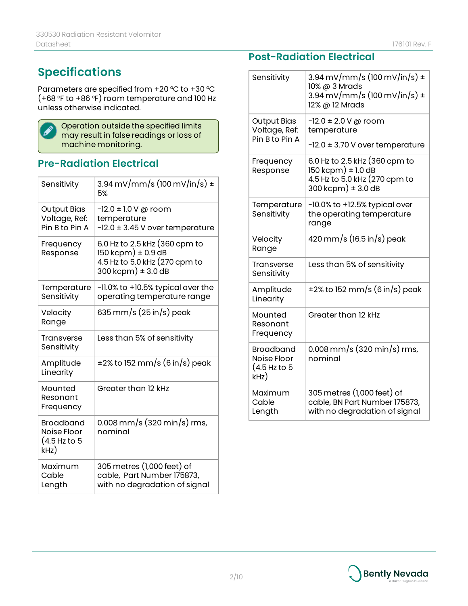# **Specifications**

Parameters are specified from +20 °C to +30 °C (+68 °F to +86 °F) room temperature and 100 Hz unless otherwise indicated.



Operation outside the specified limits may result in false readings or loss of machine monitoring.

# **Pre-Radiation Electrical**

| Sensitivity                                             | 3.94 mV/mm/s (100 mV/in/s) $\pm$<br>5%                                                                     |
|---------------------------------------------------------|------------------------------------------------------------------------------------------------------------|
| <b>Output Bias</b><br>Voltage, Ref:<br>Pin B to Pin A   | $-12.0 \pm 1.0$ V @ room<br>temperature<br>$-12.0 \pm 3.45$ V over temperature                             |
| Frequency<br>Response                                   | 6.0 Hz to 2.5 kHz (360 cpm to<br>150 kcpm) ± 0.9 dB<br>4.5 Hz to 5.0 kHz (270 cpm to<br>300 kcpm) ± 3.0 dB |
| Temperature<br>Sensitivity                              | -11.0% to +10.5% typical over the<br>operating temperature range                                           |
| Velocity<br>Range                                       | 635 mm/s (25 in/s) peak                                                                                    |
| Transverse<br>Sensitivity                               | Less than 5% of sensitivity                                                                                |
| Amplitude<br>Linearity                                  | ±2% to 152 mm/s (6 in/s) peak                                                                              |
| Mounted<br>Resonant<br>Frequency                        | Greater than 12 kHz                                                                                        |
| <b>Broadband</b><br>Noise Floor<br>(4.5 Hz to 5<br>kHz) | 0.008 mm/s (320 min/s) rms,<br>nominal                                                                     |
| Maximum<br>Cable<br>Length                              | 305 metres (1,000 feet) of<br>cable, Part Number 175873,<br>with no degradation of signal                  |

### **Post-Radiation Electrical**

| Sensitivity                                             | 3.94 mV/mm/s (100 mV/in/s) $\pm$<br>10% @ 3 Mrads<br>$3.94 \,\mathrm{mV/mm/s}$ (100 mV/in/s) ±<br>12% @ 12 Mrads |
|---------------------------------------------------------|------------------------------------------------------------------------------------------------------------------|
| <b>Output Bias</b><br>Voltage, Ref:<br>Pin B to Pin A   | $-12.0 \pm 2.0$ V @ room<br>temperature                                                                          |
|                                                         | $-12.0 \pm 3.70$ V over temperature                                                                              |
| Frequency<br>Response                                   | 6.0 Hz to 2.5 kHz (360 cpm to<br>150 kcpm) ± 1.0 dB<br>4.5 Hz to 5.0 kHz (270 cpm to<br>300 kcpm) ± 3.0 dB       |
| Temperature<br>Sensitivity                              | $-10.0\%$ to $+12.5\%$ typical over<br>the operating temperature<br>range                                        |
| Velocity<br>Range                                       | 420 mm/s (16.5 in/s) peak                                                                                        |
| <b>Transverse</b><br>Sensitivity                        | Less than 5% of sensitivity                                                                                      |
| Amplitude<br>Linearity                                  | ±2% to 152 mm/s (6 in/s) peak                                                                                    |
| Mounted<br>Resonant<br>Frequency                        | Greater than 12 kHz                                                                                              |
| <b>Broadband</b><br>Noise Floor<br>(4.5 Hz to 5<br>kHz) | $0.008$ mm/s (320 min/s) rms,<br>nominal                                                                         |
| Maximum<br>Cable<br>Length                              | 305 metres (1,000 feet) of<br>cable, BN Part Number 175873,<br>with no degradation of signal                     |

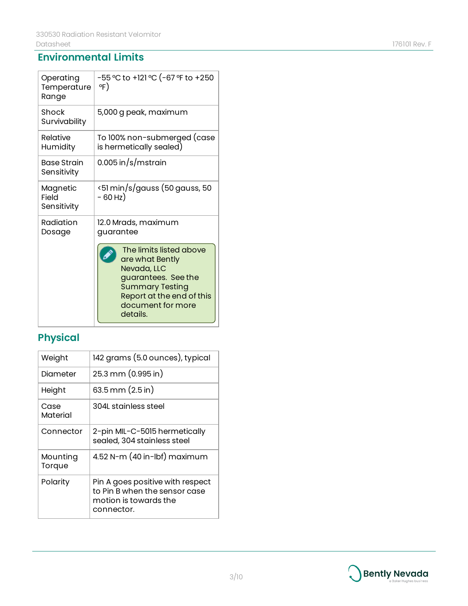# **Environmental Limits**

| Operating<br>Temperature<br>Range | -55 °C to +121 °C (-67 °F to +250<br>°F)                                                                                                                                 |
|-----------------------------------|--------------------------------------------------------------------------------------------------------------------------------------------------------------------------|
| Shock<br>Survivability            | 5,000 g peak, maximum                                                                                                                                                    |
| Relative<br>Humidity              | To 100% non-submerged (case<br>is hermetically sealed)                                                                                                                   |
| Base Strain<br>Sensitivity        | $0.005$ in/s/mstrain                                                                                                                                                     |
| Magnetic<br>Field<br>Sensitivity  | <51 min/s/gauss (50 gauss, 50<br>- 60 Hz)                                                                                                                                |
| Radiation<br>Dosage               | 12.0 Mrads, maximum<br>guarantee                                                                                                                                         |
|                                   | The limits listed above<br>are what Bently<br>Nevada, LLC<br>guarantees. See the<br><b>Summary Testing</b><br>Report at the end of this<br>document for more<br>details. |

# **Physical**

| Weight             | 142 grams (5.0 ounces), typical                                                                          |
|--------------------|----------------------------------------------------------------------------------------------------------|
| Diameter           | 25.3 mm (0.995 in)                                                                                       |
| Height             | 63.5 mm (2.5 in)                                                                                         |
| Case<br>Material   | 304L stainless steel                                                                                     |
| Connector          | 2-pin MIL-C-5015 hermetically<br>sealed, 304 stainless steel                                             |
| Mounting<br>Torque | $4.52$ N-m (40 in-lbf) maximum                                                                           |
| Polarity           | Pin A goes positive with respect<br>to Pin B when the sensor case<br>motion is towards the<br>connector. |



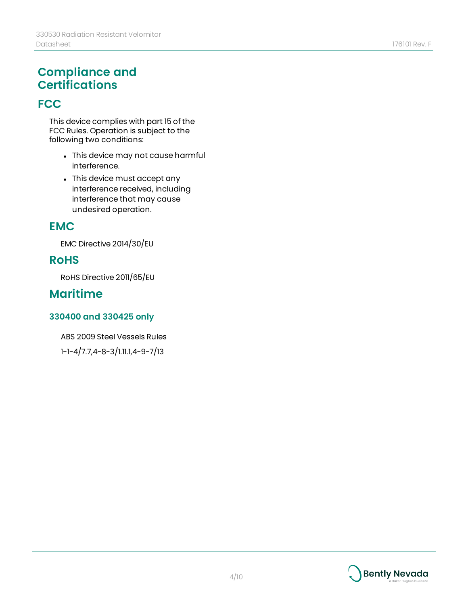# **Compliance and Certifications**

# **FCC**

This device complies with part 15 of the FCC Rules. Operation is subject to the following two conditions:

- This device may not cause harmful interference.
- This device must accept any interference received, including interference that may cause undesired operation.

# **EMC**

EMC Directive 2014/30/EU

# **RoHS**

RoHS Directive 2011/65/EU

# **Maritime**

#### **330400 and 330425 only**

ABS 2009 Steel Vessels Rules

1-1-4/7.7,4-8-3/1.11.1,4-9-7/13

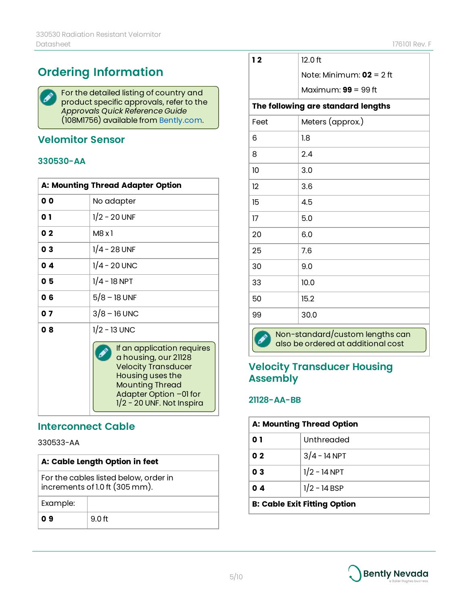# **Ordering Information**

For the detailed listing of country and  $\blacktriangleright$ product specific approvals, refer to the *Approvals Quick Reference Guide* (108M1756) available from [Bently.com.](http://www.bently.com/)

#### **Velomitor Sensor**

#### **330530-AA**

| A: Mounting Thread Adapter Option |                                                                                                                                                                                         |
|-----------------------------------|-----------------------------------------------------------------------------------------------------------------------------------------------------------------------------------------|
| 0 O                               | No adapter                                                                                                                                                                              |
| 0 1                               | $1/2 - 20$ UNF                                                                                                                                                                          |
| 02                                | M8 x 1                                                                                                                                                                                  |
| 03                                | $1/4 - 28$ UNF                                                                                                                                                                          |
| 04                                | $1/4 - 20$ UNC                                                                                                                                                                          |
| 05                                | $1/4 - 18$ NPT                                                                                                                                                                          |
| 0 6                               | $5/8 - 18$ UNF                                                                                                                                                                          |
| 07                                | $3/8 - 16$ UNC                                                                                                                                                                          |
| 08                                | $1/2 - 13$ UNC                                                                                                                                                                          |
|                                   | If an application requires<br>a housing, our 21128<br><b>Velocity Transducer</b><br>Housing uses the<br><b>Mounting Thread</b><br>Adapter Option -01 for<br>$1/2$ - 20 UNF. Not Inspira |

#### **Interconnect Cable**

330533-AA

| A: Cable Length Option in feet                                          |        |
|-------------------------------------------------------------------------|--------|
| For the cables listed below, order in<br>increments of 1.0 ft (305 mm). |        |
| Example:                                                                |        |
| O 9                                                                     | 9.0 ft |

| $12.0$ ft |
|-----------|
|           |

**1 2** 12.0 ft

Note: Minimum: **02** = 2 ft

Maximum: **99** = 99 ft

#### **The following are standard lengths**

| Feet                                                                  | Meters (approx.) |
|-----------------------------------------------------------------------|------------------|
|                                                                       |                  |
| 6                                                                     | 1.8              |
| 8                                                                     | 2.4              |
| 10                                                                    | 3.0              |
| 12                                                                    | 3.6              |
| 15                                                                    | 4.5              |
| 17                                                                    | 5.0              |
| 20                                                                    | 6.0              |
| 25                                                                    | 7.6              |
| 30                                                                    | 9.0              |
| 33                                                                    | 10.0             |
| 50                                                                    | 15.2             |
| 99                                                                    | 30.0             |
| Non-standard/custom lengths can<br>also be ordered at additional cost |                  |

#### **Velocity Transducer Housing Assembly**

#### **21128-AA-BB**

| <b>A: Mounting Thread Option</b>    |                |
|-------------------------------------|----------------|
| 0 I                                 | Unthreaded     |
| 0 <sub>2</sub>                      | $3/4 - 14$ NPT |
| 0 <sup>3</sup>                      | $1/2 - 14$ NPT |
| 04                                  | $1/2 - 14$ BSP |
| <b>B: Cable Exit Fitting Option</b> |                |

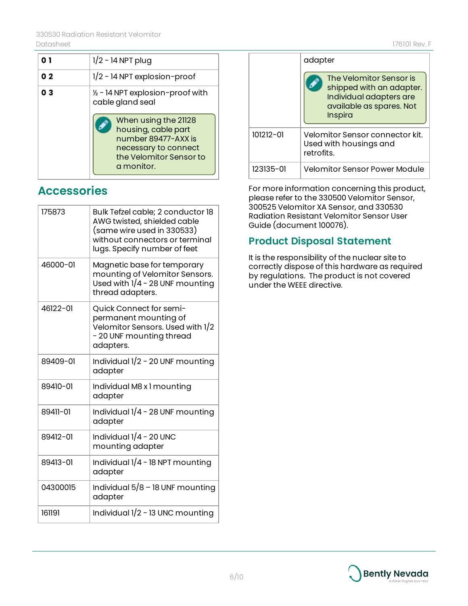|    | $1/2 - 14$ NPT plug                                                                                                                 |
|----|-------------------------------------------------------------------------------------------------------------------------------------|
| 02 | $1/2$ - 14 NPT explosion-proof                                                                                                      |
| 03 | $\frac{1}{2}$ - 14 NPT explosion-proof with<br>cable gland seal                                                                     |
|    | When using the 21128<br>housing, cable part<br>number 89477-AXX is<br>necessary to connect<br>the Velomitor Sensor to<br>a monitor. |

# **Accessories**

| 175873   | Bulk Tefzel cable; 2 conductor 18<br>AWG twisted, shielded cable<br>(same wire used in 330533)<br>without connectors or terminal<br>lugs. Specify number of feet |
|----------|------------------------------------------------------------------------------------------------------------------------------------------------------------------|
| 46000-01 | Magnetic base for temporary<br>mounting of Velomitor Sensors.<br>Used with $1/4$ - 28 UNF mounting<br>thread adapters.                                           |
| 46122-01 | Quick Connect for semi-<br>permanent mounting of<br>Velomitor Sensors. Used with 1/2<br>- 20 UNF mounting thread<br>adapters.                                    |
| 89409-01 | Individual $1/2$ - 20 UNF mounting<br>adapter                                                                                                                    |
| 89410-01 | Individual M8 x 1 mounting<br>adapter                                                                                                                            |
| 89411-01 | Individual $1/4$ - 28 UNF mounting<br>adapter                                                                                                                    |
| 89412-01 | Individual $1/4$ - 20 UNC<br>mounting adapter                                                                                                                    |
| 89413-01 | Individual $1/4$ - 18 NPT mounting<br>adapter                                                                                                                    |
| 04300015 | Individual $5/8$ – 18 UNF mounting<br>adapter                                                                                                                    |
| 161191   | Individual $1/2$ - 13 UNC mounting                                                                                                                               |

|           | adapter                                                                                                                      |
|-----------|------------------------------------------------------------------------------------------------------------------------------|
|           | The Velomitor Sensor is<br>shipped with an adapter.<br>Individual adapters are<br>available as spares. Not<br><b>Inspira</b> |
| 101212-01 | Velomitor Sensor connector kit.<br>Used with housings and<br>retrofits.                                                      |
| 123135-01 | Velomitor Sensor Power Module                                                                                                |

For more information concerning this product, please refer to the 330500 Velomitor Sensor, 300525 Velomitor XA Sensor, and 330530 Radiation Resistant Velomitor Sensor User Guide (document 100076).

# **Product Disposal Statement**

It is the responsibility of the nuclear site to correctly dispose of this hardware as required by regulations. The product is not covered under the WEEE directive.

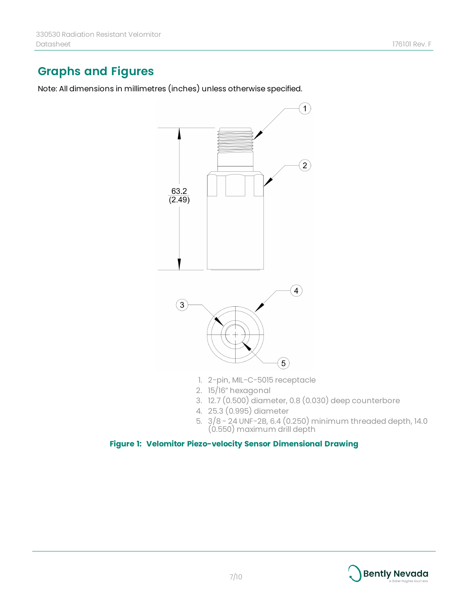# **Graphs and Figures**

Note: All dimensions in millimetres (inches) unless otherwise specified.



- 1. 2-pin, MIL-C-5015 receptacle
- 2. 15/16" hexagonal
- 3. 12.7 (0.500) diameter, 0.8 (0.030) deep counterbore
- 4. 25.3 (0.995) diameter
- 5. 3/8 24 UNF-2B, 6.4 (0.250) minimum threaded depth, 14.0 (0.550) maximum drill depth

#### **Figure 1: Velomitor Piezo-velocity Sensor Dimensional Drawing**

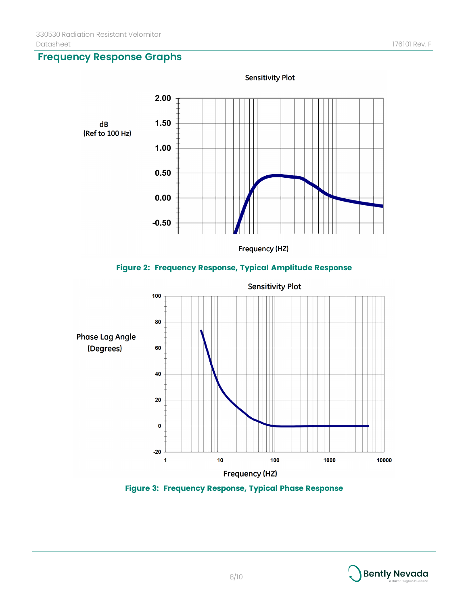**Frequency Response Graphs**



#### **Figure 2: Frequency Response, Typical Amplitude Response**



**Figure 3: Frequency Response, Typical Phase Response**

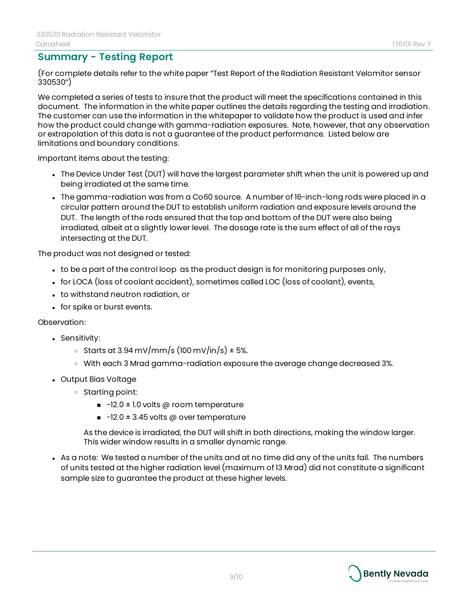#### **Summary - Testing Report**

(For complete details refer to the white paper "Test Report of the Radiation Resistant Velomitor sensor 330530")

We completed a series of tests to insure that the product will meet the specifications contained in this document. The information in the white paper outlines the details regarding the testing and irradiation. The customer can use the information in the whitepaper to validate how the product is used and infer how the product could change with gamma-radiation exposures. Note, however, that any observation or extrapolation of this data is not a guarantee of the product performance. Listed below are limitations and boundary conditions.

Important items about the testing:

- The Device Under Test (DUT) will have the largest parameter shift when the unit is powered up and being irradiated at the same time.
- The gamma-radiation was from a Co60 source. A number of 16-inch-long rods were placed in a circular pattern around the DUT to establish uniform radiation and exposure levels around the DUT. The length of the rods ensured that the top and bottom of the DUT were also being irradiated, albeit at a slightly lower level. The dosage rate is the sum effect of all of the rays intersecting at the DUT.

The product was not designed or tested:

- to be a part of the control loop as the product design is for monitoring purposes only,
- for LOCA (loss of coolant accident), sometimes called LOC (loss of coolant), events,
- to withstand neutron radiation, or
- for spike or burst events.

Observation:

- Sensitivity:
	- $\circ$  Starts at 3.94 mV/mm/s (100 mV/in/s) ± 5%.
	- <sup>o</sup> With each 3 Mrad gamma-radiation exposure the average change decreased 3%.
- Output Bias Voltage
	- <sup>o</sup> Starting point:
		- $\blacksquare$  -12.0  $\pm$  1.0 volts @ room temperature
		- $\blacksquare$  -12.0  $\pm$  3.45 volts @ over temperature

As the device is irradiated, the DUT will shift in both directions, making the window larger. This wider window results in a smaller dynamic range.

• As a note: We tested a number of the units and at no time did any of the units fail. The numbers of units tested at the higher radiation level (maximum of 13 Mrad) did not constitute a significant sample size to guarantee the product at these higher levels.